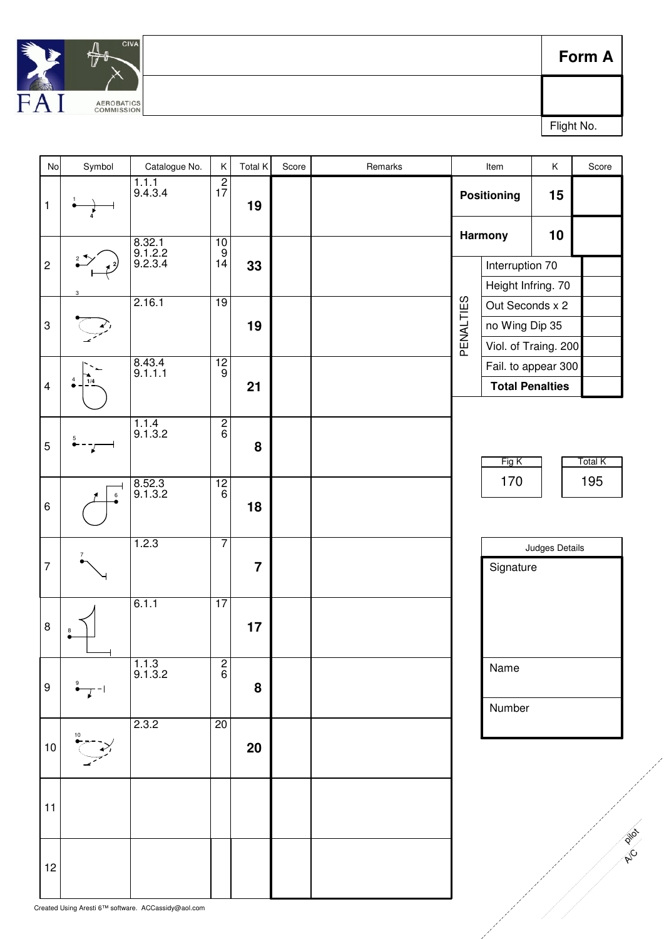

**Form A**

Flight No.

| No                                          | Symbol | Catalogue No.                                       | Κ                | Total K        | Score | Remarks |                               | Item                                  | $\sf K$        | Score          |
|---------------------------------------------|--------|-----------------------------------------------------|------------------|----------------|-------|---------|-------------------------------|---------------------------------------|----------------|----------------|
| $\mathbf{1}$                                |        | $\frac{1.1.1}{9.4.3.4}$                             | $\frac{2}{17}$   | 19             |       |         | <b>Positioning</b><br>Harmony |                                       | 15             |                |
|                                             |        |                                                     | 10               |                |       |         |                               |                                       | 10             |                |
|                                             |        | 8.32.1<br>9.1.2.2<br>9.2.3.4                        | $\frac{9}{14}$   |                |       |         |                               |                                       |                |                |
| $\overline{c}$<br>$\ensuremath{\mathsf{3}}$ |        | 2.16.1                                              | 19<br>12         | 33<br>19       |       |         |                               | Interruption 70                       |                |                |
|                                             | 3      |                                                     |                  |                |       |         |                               | Height Infring. 70<br>Out Seconds x 2 |                |                |
|                                             |        |                                                     |                  |                |       |         | PENALTIES                     | no Wing Dip 35                        |                |                |
|                                             |        |                                                     |                  |                |       |         |                               | Viol. of Traing. 200                  |                |                |
|                                             |        |                                                     |                  |                |       |         |                               | Fail. to appear 300                   |                |                |
| 4                                           | 1/4    | 8.43.4<br>9.1.1.1                                   | $\boldsymbol{9}$ | 21             |       |         |                               | <b>Total Penalties</b>                |                |                |
|                                             |        |                                                     |                  |                |       |         |                               |                                       |                |                |
|                                             |        | 1.1.4                                               | $\frac{2}{6}$    |                |       |         |                               |                                       |                |                |
| 5                                           |        | 9.1.3.2                                             |                  | 8              |       |         |                               |                                       |                |                |
|                                             |        |                                                     |                  |                |       |         |                               | Fig K                                 |                | <b>Total K</b> |
|                                             | 6      | 8.52.3<br>9.1.3.2                                   | 12<br>$\,6\,$    | 18             |       |         |                               | 170                                   |                | 195            |
| 6                                           |        |                                                     |                  |                |       |         |                               |                                       |                |                |
|                                             |        |                                                     |                  |                |       |         |                               |                                       |                |                |
|                                             |        | 1.2.3                                               | $\overline{7}$   |                |       |         |                               |                                       | Judges Details |                |
| $\overline{7}$                              |        |                                                     |                  | $\overline{7}$ |       |         |                               | Signature                             |                |                |
|                                             |        |                                                     |                  |                |       |         |                               |                                       |                |                |
|                                             |        | 6.1.1                                               | $\overline{17}$  |                |       |         |                               |                                       |                |                |
| 8                                           | 8      |                                                     |                  | 17             |       |         |                               |                                       |                |                |
|                                             |        |                                                     |                  |                |       |         |                               |                                       |                |                |
|                                             |        | $\frac{1.1.3}{9.1.3.2}$                             | $\frac{2}{6}$    |                |       |         |                               | Name                                  |                |                |
| 9                                           |        |                                                     |                  | 8              |       |         |                               |                                       |                |                |
|                                             |        |                                                     |                  |                |       |         |                               | Number                                |                |                |
|                                             |        | 2.3.2                                               | 20               |                |       |         |                               |                                       |                |                |
| $10\,$                                      |        |                                                     |                  | 20             |       |         |                               |                                       |                |                |
|                                             |        |                                                     |                  |                |       |         |                               |                                       |                |                |
|                                             |        |                                                     |                  |                |       |         |                               |                                       |                |                |
| 11                                          |        |                                                     |                  |                |       |         |                               |                                       |                |                |
|                                             |        |                                                     |                  |                |       |         |                               |                                       |                | Pilot          |
|                                             |        |                                                     |                  |                |       |         |                               |                                       |                | <b>PIP</b>     |
| 12                                          |        |                                                     |                  |                |       |         |                               |                                       |                |                |
|                                             |        |                                                     |                  |                |       |         |                               |                                       |                |                |
|                                             |        | Created Using Aresti 6™ software. ACCassidy@aol.com |                  |                |       |         |                               |                                       |                |                |
|                                             |        |                                                     |                  |                |       |         |                               |                                       |                |                |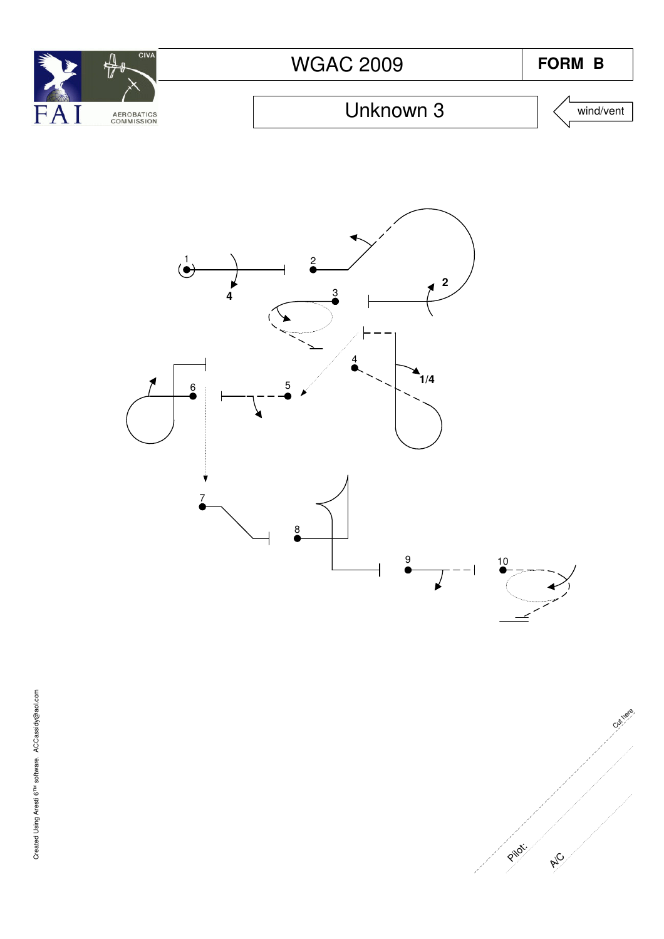





Cut here **A/C** Pilot: